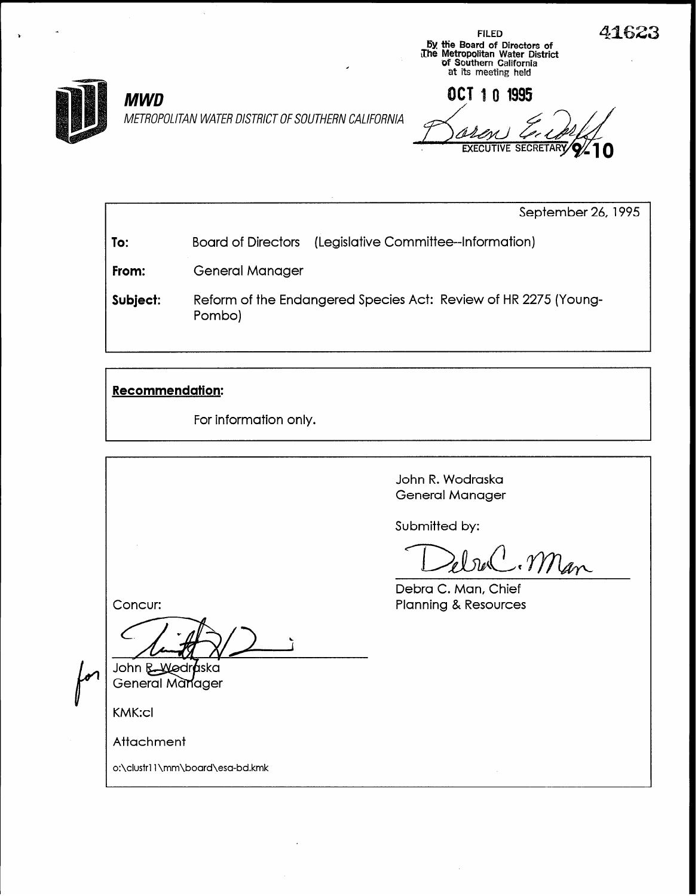METROPOLITAN WATER DISTRICT OF SOUTHERN CALIFORNIA

MWD 0CT 1 0 1995 **EXECUTIVE SECRETARY 9**/

by the Board of Directors of

at its meeting held

ithe Metropolitan Water District<br>The Metropolitan California<br>Contract District District

September 26, 1995

To: Board of Directors (Legislative Committee--Information)

From: General Manager

Subject: Reform of the Endangered Species Act: Review of HR 2275 (Young-Pombo)

## Recommendation:

For information only.

John R. Wodraska General Manager

Submitted by:

ebuC. Man

Debra C. Man, Chief Planning & Resources

Concur:

John B-Wodr*a*ska General Manager

KMK:cl

Attachment

o:\clustrl 1 \mm\board\esa-bd.kmk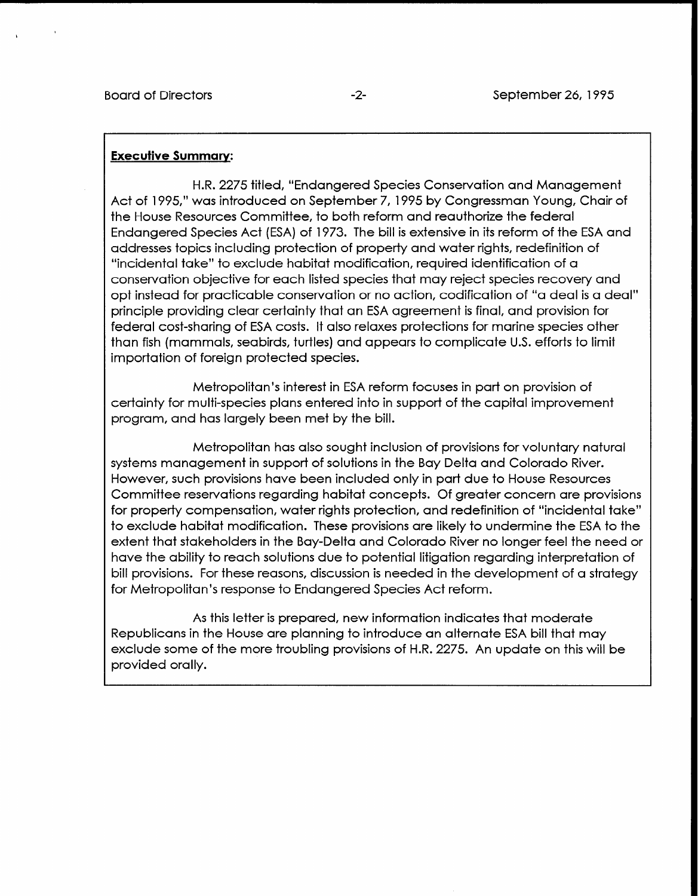## Executive Summary:

H.R. 2275 titled, "Endangered Species Conservation and Management Act of 1995," was introduced on September 7, 1995 by Congressman Young, Chair of the House Resources Committee, to both reform and reauthorize the federal Endangered Species Act (ESA) of 1973. The bill is extensive in its reform of the ESA and addresses topics including protection of property and water rights, redefinition of "incidental take" to exclude habitat modification, required identification of a conservation objective for each listed species that may reject species recovery and opt instead for practicable conservation or no action, codification of "a deal is a deal" principle providing clear certainty that an ESA agreement is final, and provision for federal cost-sharing of ESA costs. It also relaxes protections for marine species other than fish (mammals, seabirds, turtles) and appears to complicate U.S. efforts to limit importation of foreign protected species.

Metropolitan's interest in ESA reform focuses in part on provision of certainty for multi-species plans entered into in support of the capital improvement program, and has largely been met by the bill.

Metropolitan has also sought inclusion of provisions for voluntary natural systems management in support of solutions in the Bay Delta and Colorado River. However, such provisions have been included only in part due to House Resources Committee reservations regarding habitat concepts. Of greater concern are provisions for property compensation, water rights protection, and redefinition of "incidental take" to exclude habitat modification. These provisions are likely to undermine the ESA to the extent that stakeholders in the Bay-Delta and Colorado River no longer feel the need or have the ability to reach solutions due to potential litigation regarding interpretation of bill provisions. For these reasons, discussion is needed in the development of a strategy for Metropolitan's response to Endangered Species Act reform.

As this letter is prepared, new information indicates that moderate Republicans in the House are planning to introduce an alternate ESA bill that may exclude some of the more troubling provisions of H.R. 2275. An update on this will be provided orally.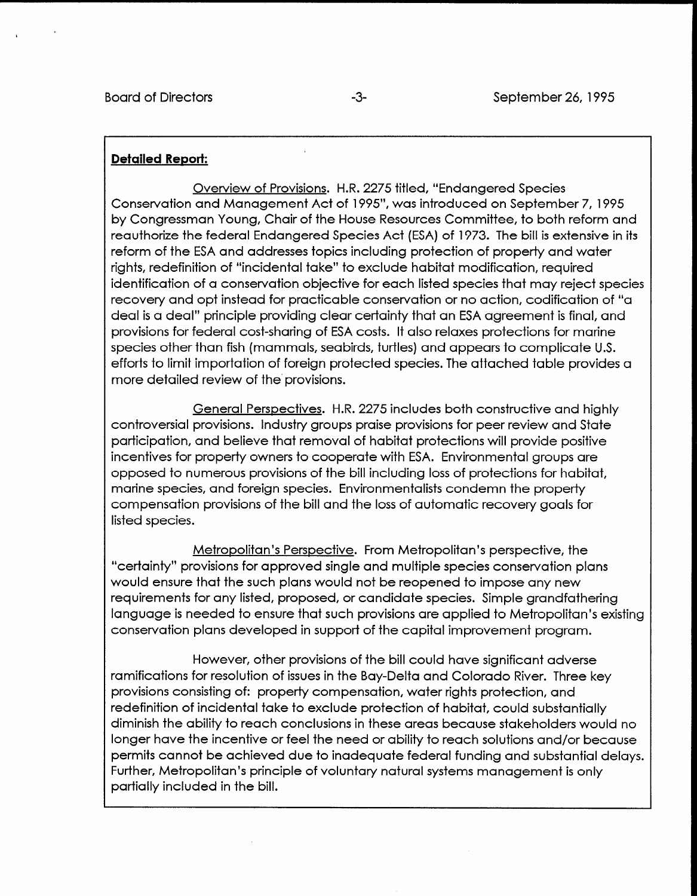## Detailed Report:

Overview of Provisions. H.R. 2275 titled, "Endangered Species Conservation and Management Act of 1995", was introduced on September 7, 1995 by Congressman Young, Chair of the House Resources Committee, to both reform and reauthorize the federal Endangered Species Act (ESA) of 1973. The bill is extensive in its reform of the ESA and addresses topics including protection of property and water rights, redefinition of "incidental take" to exclude habitat modification, required identification of a conservation objective for each listed species that may reject species recovery and opt instead for practicable conservation or no action, codification of "a deal is a deal" principle providing clear certainty that an ESA agreement is final, and provisions for federal cost-sharing of ESA costs. It also relaxes protections for marine species other than fish (mammals, seabirds, turtles) and appears to complicate U.S. efforts to limit importation of foreign protected species. The attached table provides a more detailed review of the' provisions.

General Perspectives. H.R. 2275 includes both constructive and highly controversial provisions. Industry groups praise provisions for peer review and State participation, and believe that removal of habitat protections will provide positive incentives for property owners to cooperate with ESA. Environmental groups are opposed to numerous provisions of the bill including loss of protections for habitat, marine species, and foreign species. Environmentalists condemn the property compensation provisions of the bill and the loss of automatic recovery goals for listed species.

Metropolitan's Perspective. From Metropolitan's perspective, the "certainty" provisions for approved single and multiple species conservation plans would ensure that the such plans would not be reopened to impose any new requirements for any listed, proposed, or candidate species. Simple grandfathering la quien is needed to ensure the provisions are applicated to Metropolitanism and Metropolitan's existing conservation provement of the capital in such provisions die applied in metropolitation

However, other provisions of the bill could have significant adverse ramifications for resolution of issues in the Bay-Delta and Colorado River. Three key ramifications for resolution of issues in the Bay-Delta and Colorado River. Three key provisions consisting of: property compensation, water rights protection, and redefinition of incidental take to exclude protection of habitat, could substantially diminish the ability to reach conclusions in these areas because stakeholders would no longer have the incentive or feel the need or ability to reach solutions and/or because. permits cannot be achieved due to inadequate federal funding and substantial delays. Further, Metropolitan's principle of voluntary natural systems management is only partially included in the bill.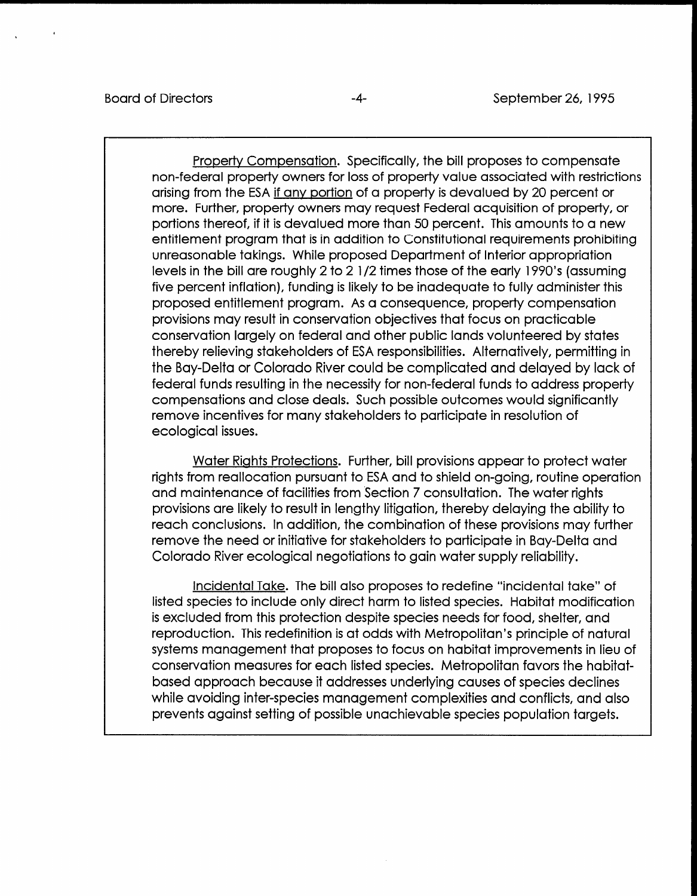Property Compensation. Specifically, the bill proposes to compensate non-federal property owners for loss of property value associated with restrictions arising from the ESA if any portion of a property is devalued by 20 percent or more. Further, property owners may request Federal acquisition of property, or portions thereof, if it is devalued more than 50 percent. This amounts to a new entitlement program that is in addition to Constitutional requirements prohibiting unreasonable takings. While proposed Department of Interior appropriation levels in the bill are roughly 2 to 2 l/2 times those of the early 1990's (assuming five percent inflation), funding is likely to be inadequate to fully administer this proposed entitlement program. As a consequence, property compensation provisions may result in conservation objectives that focus on practicable conservation largely on federal and other public lands volunteered by states thereby relieving stakeholders of ESA responsibilities. Alternatively, permitting in the Bay-Delta or Colorado River could be complicated and delayed by lack of federal funds resulting in the necessity for non-federal funds to address property compensations and close deals. Such possible outcomes would significantly remove incentives for many stakeholders to participate in resolution of ecological issues.

Water Rights Protections. Further, bill provisions appear to protect water rights from reallocation pursuant to ESA and to shield on-going, routine operation and maintenance of facilities from Section 7 consultation. The water rights provisions are likely to result in lengthy litigation, thereby delaying the ability to reach conclusions. In addition, the combination of these provisions may further remove the need or initiative for stakeholders to participate in Bay-Delta and Colorado River ecological negotiations to gain water supply reliability.

Incidental Take. The bill also proposes to redefine "incidental take" of listed species to the species of the direct harm to listed species. Has the listed species of the listed species of the listed species of the listed species of the listed species of the listed species of the listed species is the species to meader only direct named species. Tradition modified, is excluded from this protection despite species needs for food, shelter, and reproduction. This redefinition is at odds with Metropolitan's principle of natural systems management that proposes to focus on habitat improvements in lieu of conservation measures for each listed species. Metropolitan favors the habitatbased approach because it addresses underlying causes of species declines while avoiding inter-species management complexities and conflicts, and also<br>prevents against setting of possible unachievable species population targets.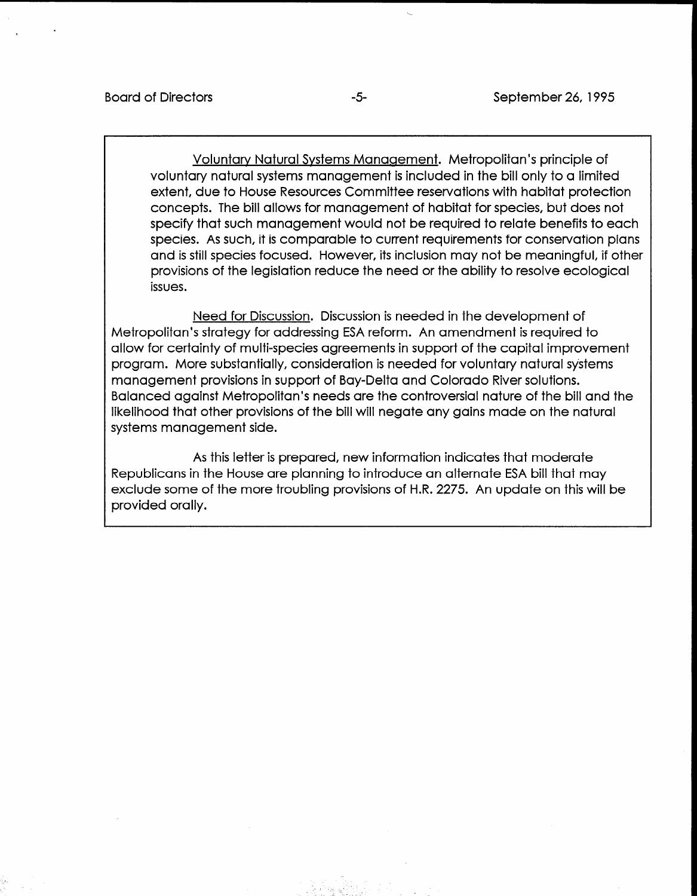Voluntary Natural Systems Management. Metropolitan's principle of voluntary natural systems management is included in the bill only to a limited extent, due to House Resources Committee reservations with habitat protection concepts. The bill allows for management of habitat for species, but does not specify that such management would not be required to relate benefits to each species. As such, it is comparable to current requirements for conservation plans and is still species focused. However, its inclusion may not be meaningful, if other provisions of the legislation reduce the need or the ability to resolve ecological issues.

Need for Discussion. Discussion is needed in the development of Metropolitan's strategy for addressing ESA reform. An amendment is required to allow for certainty of multi-species agreements in support of the capital improvement program. More substantially, consideration is needed for voluntary natural systems management provisions in support of Bay-Delta and Colorado River solutions. Balanced against Metropolitan's needs are the controversial nature of the bill and the likelihood that other provisions of the bill will negate any gains made on the natural systems management side.

As this letter is prepared, new information indicates that moderate Republicans in the House are planning to introduce an alternate ESA bill that may exclude some of the more troubling provisions of H.R. 2275. An update on this will be provided orally.

> . \_,: .-' ., ,- \_ -- ,'. -:. 23 \_ '\_ ,\_ \_ ' .